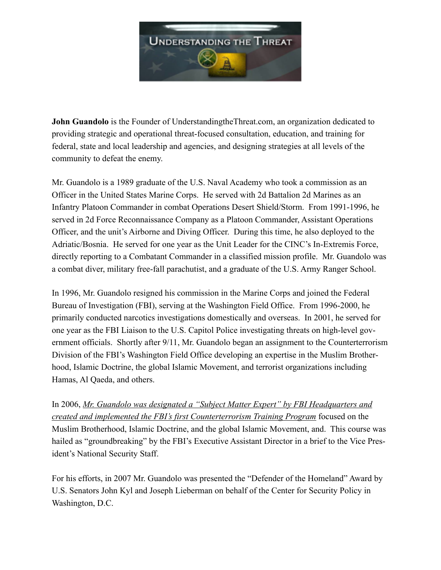

**John Guandolo** is the Founder of UnderstandingtheThreat.com, an organization dedicated to providing strategic and operational threat-focused consultation, education, and training for federal, state and local leadership and agencies, and designing strategies at all levels of the community to defeat the enemy.

Mr. Guandolo is a 1989 graduate of the U.S. Naval Academy who took a commission as an Officer in the United States Marine Corps. He served with 2d Battalion 2d Marines as an Infantry Platoon Commander in combat Operations Desert Shield/Storm. From 1991-1996, he served in 2d Force Reconnaissance Company as a Platoon Commander, Assistant Operations Officer, and the unit's Airborne and Diving Officer. During this time, he also deployed to the Adriatic/Bosnia. He served for one year as the Unit Leader for the CINC's In-Extremis Force, directly reporting to a Combatant Commander in a classified mission profile. Mr. Guandolo was a combat diver, military free-fall parachutist, and a graduate of the U.S. Army Ranger School.

In 1996, Mr. Guandolo resigned his commission in the Marine Corps and joined the Federal Bureau of Investigation (FBI), serving at the Washington Field Office. From 1996-2000, he primarily conducted narcotics investigations domestically and overseas. In 2001, he served for one year as the FBI Liaison to the U.S. Capitol Police investigating threats on high-level government officials. Shortly after 9/11, Mr. Guandolo began an assignment to the Counterterrorism Division of the FBI's Washington Field Office developing an expertise in the Muslim Brotherhood, Islamic Doctrine, the global Islamic Movement, and terrorist organizations including Hamas, Al Qaeda, and others.

In 2006, *Mr. Guandolo was designated a "Subject Matter Expert" by FBI Headquarters and created and implemented the FBI's first Counterterrorism Training Program* focused on the Muslim Brotherhood, Islamic Doctrine, and the global Islamic Movement, and. This course was hailed as "groundbreaking" by the FBI's Executive Assistant Director in a brief to the Vice President's National Security Staff.

For his efforts, in 2007 Mr. Guandolo was presented the "Defender of the Homeland" Award by U.S. Senators John Kyl and Joseph Lieberman on behalf of the Center for Security Policy in Washington, D.C.